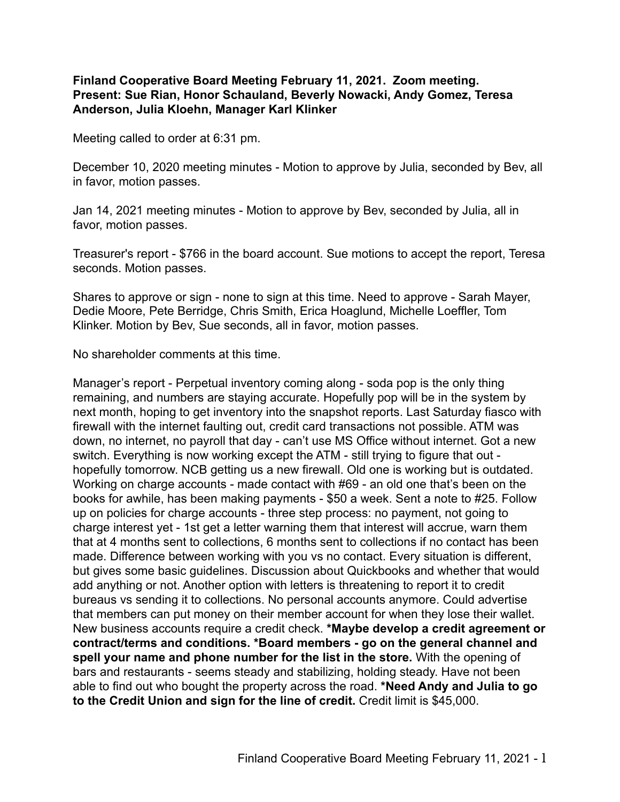## **Finland Cooperative Board Meeting February 11, 2021. Zoom meeting. Present: Sue Rian, Honor Schauland, Beverly Nowacki, Andy Gomez, Teresa Anderson, Julia Kloehn, Manager Karl Klinker**

Meeting called to order at 6:31 pm.

December 10, 2020 meeting minutes - Motion to approve by Julia, seconded by Bev, all in favor, motion passes.

Jan 14, 2021 meeting minutes - Motion to approve by Bev, seconded by Julia, all in favor, motion passes.

Treasurer's report - \$766 in the board account. Sue motions to accept the report, Teresa seconds. Motion passes.

Shares to approve or sign - none to sign at this time. Need to approve - Sarah Mayer, Dedie Moore, Pete Berridge, Chris Smith, Erica Hoaglund, Michelle Loeffler, Tom Klinker. Motion by Bev, Sue seconds, all in favor, motion passes.

No shareholder comments at this time.

Manager's report - Perpetual inventory coming along - soda pop is the only thing remaining, and numbers are staying accurate. Hopefully pop will be in the system by next month, hoping to get inventory into the snapshot reports. Last Saturday fiasco with firewall with the internet faulting out, credit card transactions not possible. ATM was down, no internet, no payroll that day - can't use MS Office without internet. Got a new switch. Everything is now working except the ATM - still trying to figure that out hopefully tomorrow. NCB getting us a new firewall. Old one is working but is outdated. Working on charge accounts - made contact with #69 - an old one that's been on the books for awhile, has been making payments - \$50 a week. Sent a note to #25. Follow up on policies for charge accounts - three step process: no payment, not going to charge interest yet - 1st get a letter warning them that interest will accrue, warn them that at 4 months sent to collections, 6 months sent to collections if no contact has been made. Difference between working with you vs no contact. Every situation is different, but gives some basic guidelines. Discussion about Quickbooks and whether that would add anything or not. Another option with letters is threatening to report it to credit bureaus vs sending it to collections. No personal accounts anymore. Could advertise that members can put money on their member account for when they lose their wallet. New business accounts require a credit check. **\*Maybe develop a credit agreement or contract/terms and conditions. \*Board members - go on the general channel and spell your name and phone number for the list in the store.** With the opening of bars and restaurants - seems steady and stabilizing, holding steady. Have not been able to find out who bought the property across the road. **\*Need Andy and Julia to go to the Credit Union and sign for the line of credit.** Credit limit is \$45,000.